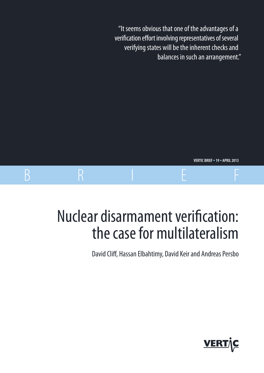"It seems obvious that one of the advantages of a verification effort involving representatives of several verifying states will be the inherent checks and balances in such an arrangement."

**VERTIC BRIEF** • **19** • **APRIL 2013**

# Nuclear disarmament verification: the case for multilateralism

B R I E F

David Cliff, Hassan Elbahtimy, David Keir and Andreas Persbo

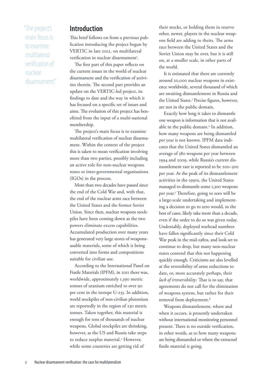"The project's main focus is to examine multilateral verification of nuclear disarmament."

#### **Introduction**

This brief follows on from a previous publication introducing the project begun by VERTIC in late 2012, on multilateral verification in nuclear disarmament<sup>1</sup>.

The first part of this paper reflects on the current issues in the world of nuclear disarmament and the verification of activities therein. The second part provides an update on the VERTIC-led project, its findings to date and the way in which it has focused on a specific set of issues and aims. The evolution of this project has benefitted from the input of a multi-national membership.

The project's main focus is to examine multilateral verification of nuclear disarmament. Within the context of the project this is taken to mean verification involving more than two parties, possibly including an active role for non-nuclear weapons states or inter-governmental organisations (IGOs) in the process.

More than two decades have passed since the end of the Cold War and, with that, the end of the nuclear arms race between the United States and the former Soviet Union. Since then, nuclear weapons stockpiles have been coming down as the two powers eliminate excess capabilities. Accumulated production over many years has generated very large stores of weaponsusable materials, some of which is being converted into forms and compositions suitable for civilian use.

According to the International Panel on Fissile Materials (IPFM), in 2011 there was, worldwide, approximately 1,390 metric tonnes of uranium enriched to over 90 per cent in the isotope U-235. In addition, world stockpiles of non-civilian plutonium are reportedly in the region of 230 metric tonnes. Taken together, this material is enough for tens of thousands of nuclear weapons. Global stockpiles are shrinking, however, as the US and Russia take steps to reduce surplus material.<sup>2</sup> However, while some countries are getting rid of

their stocks, or holding them in reserve other, newer, players in the nuclear weapons field are adding to theirs. The arms race between the United States and the Soviet Union may be over, but it is still on, at a smaller scale, in other parts of the world.

It is estimated that there are currently around 20,000 nuclear weapons in existence worldwide, several thousand of which are awaiting dismantlement in Russia and the United States.<sup>3</sup> Precise figures, however, are not in the public domain.

Exactly how long it takes to dismantle one weapon is information that is not available in the public domain.4 In addition, how many weapons are being dismantled per year is not known. IPFM data indicates that the United States dismantled an average of 580 weapons per year between 1994 and 2009, while Russia's current dismantlement rate is reported to be 200–300 per year. At the peak of its dismantlement activities in the 1990s, the United States managed to dismantle some 1,300 weapons per year.5 Therefore, going to zero will be a large-scale undertaking and implementing a decision to go to zero would, in the best of cases, likely take more than a decade, even if the order to do so was given today. Undeniably, deployed warhead numbers have fallen significantly since their Cold War peak in the mid-1980s, and look set to continue to drop, but many non-nuclear states contend that this not happening quickly enough. Criticisms are also levelled at the reversibility of arms reductions to date, or, more accurately perhaps, their *lack of irreversibility*: That is to say, that agreements do not call for the elimination of weapons system, but rather for their removal from deployment.<sup>6</sup>

Weapons dismantlement, where and when it occurs, is presently undertaken without international monitoring personnel present. There is no outside verification, in other words, as to how many weapons are being dismantled or where the extracted fissile material is going.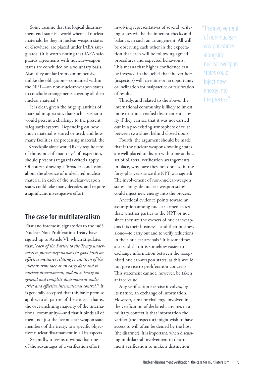Some assume that the logical disarmament end-state is a world where all nuclear materials, be they in nuclear weapon states or elsewhere, are placed under IAEA safeguards. (It is worth noting that IAEA safeguards agreements with nuclear-weapon states are concluded on a voluntary basis. Also, they are far from comprehensive, unlike the obligation—contained within the NPT—on non-nuclear-weapon states to conclude arrangements covering all their nuclear material.)

It is clear, given the huge quantities of material in question, that such a scenario would present a challenge to the present safeguards system. Depending on how much material is stored or used, and how many facilities are processing material, the US stockpile alone would likely require tens of thousands of 'man-days' of inspection, should present safeguards criteria apply. Of course, drawing a 'broader conclusion' about the absence of undeclared nuclear material in each of the nuclear-weapon states could take many decades, and require a significant investigative effort.

## **The case for multilateralism**

First and foremost, signatories to the 1968 Nuclear Non-Proliferation Treaty have signed up to Article VI, which stipulates that, '*each of the Parties to the Treaty undertakes to pursue negotiations in good faith on effective measures relating to cessation of the nuclear arms race at an early date and to nuclear disarmament, and on a Treaty on general and complete disarmament under strict and effective international control*.'7 It is generally accepted that this basic premise applies to all parties of the treaty—that is, the overwhelming majority of the international community—and that it binds all of them, not just the five nuclear-weapon state members of the treaty, to a specific objective: nuclear disarmament in all its aspects.

Secondly, it seems obvious that one of the advantages of a verification effort involving representatives of several verifying states will be the inherent checks and balances in such an arrangement. All will be observing each other in the expectation that each will be following agreed procedures and expected behaviours. This means that higher confidence can be invested in the belief that the verifiers (inspectors) will have little or no opportunity or inclination for malpractice or falsification of results.

Thirdly, and related to the above, the international community is likely to invest more trust in a verified disarmament activity if they can see that it was not carried out in a pre-existing atmosphere of trust between two allies, behind closed doors.

Fourth, the argument should be made that if the nuclear weapons-owning states are well-placed to disarm with some ad hoc set of bilateral verification arrangements in place, why have they not done so in the forty-plus years since the NPT was signed? The involvement of non-nuclear-weapon states alongside nuclear-weapon states could inject new energy into the process.

Anecdotal evidence points toward an assumption among nuclear-armed states that, whether parties to the NPT or not, since they are the owners of nuclear weapons it is their business—and their business alone—to carry out and to verify reductions in their nuclear arsenals.<sup>8</sup> It is sometimes also said that it is somehow easier to exchange information between the recognised nuclear-weapon states, as this would not give rise to proliferation concerns. This statement cannot, however, be taken at face value.

Any verification exercise involves, by its nature, an exchange of information. However, a major challenge involved in the verification of declared activities in a military context is that information the verifier (the inspector) might wish to have access to will often be denied by the host (the disarmer). It is important, when discussing multilateral involvement in disarmament verification to make a distinction

"The involvement of non-nuclearweapon states alongside nuclear-weapon states could inject new energy into the process."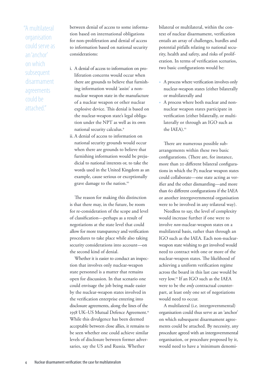"A multilateral organisation could serve as an 'anchor' on which subsequent disarmament agreements could be attached."

between denial of access to some information based on international obligations for non-proliferation and denial of access to information based on national security considerations:

- i. A denial of access to information on proliferation concerns would occur when there are grounds to believe that furnishing information would 'assist' a nonnuclear weapon state in the manufacture of a nuclear weapon or other nuclear explosive device. This denial is based on the nuclear-weapon state's legal obligation under the NPT as well as its own national security calculus.<sup>9</sup>
- ii. A denial of access to information on national security grounds would occur when there are grounds to believe that furnishing information would be prejudicial to national interests or, to take the words used in the United Kingdom as an example, cause serious or exceptionally grave damage to the nation.<sup>10</sup>

The reason for making this distinction is that there may, in the future, be room for re-consideration of the scope and level of classification—perhaps as a result of negotiations at the state level that could allow for more transparency and verification procedures to take place while also taking security considerations into account—on the second kind of denial.

Whether it is easier to conduct an inspection that involves only nuclear-weapon state personnel is a matter that remains open for discussion. In that scenario one could envisage the job being made easier by the nuclear-weapon states involved in the verification enterprise entering into disclosure agreements, along the lines of the 1958 UK-US Mutual Defence Agreement.<sup>11</sup> While this divulgence has been deemed acceptable between close allies, it remains to be seen whether one could achieve similar levels of disclosure between former adversaries, say the US and Russia. Whether

bilateral or multilateral, within the context of nuclear disarmament, verification entails an array of challenges, hurdles and potential pitfalls relating to national security, health and safety, and risks of proliferation. In terms of verification scenarios, two basic configurations would be:

- A process where verification involves only nuclear-weapon states (either bilaterally or multilaterally and
- A process where both nuclear and nonnuclear weapon states participate in verification (either bilaterally, or multilaterally or through an IGO such as the IAEA).<sup>12</sup>

There are numerous possible subarrangements within these two basic configurations. (There are, for instance, more than 20 different bilateral configurations in which the P5 nuclear weapon states could collaborate—one state acting as verifier and the other dismantling—and more than 60 different configurations if the IAEA or another intergovernmental organisation were to be involved in any trilateral way).

Needless to say, the level of complexity would increase further if one were to involve *non*-nuclear-weapon states on a multilateral basis, rather than through an IGO such as the IAEA. Each non-nuclearweapon state wishing to get involved would need to contract with one or more of the nuclear-weapon states. The likelihood of achieving a uniform verification regime across the board in this last case would be very low.13 If an IGO such as the IAEA were to be the *only* contractual counterpart, at least only one set of negotiations would need to occur.

A multilateral (i.e. intergovernmental) organisation could thus serve as an 'anchor' on which subsequent disarmament agreements could be attached. By necessity, any procedure agreed with an intergovernmental organisation, or procedure proposed by it, would need to have a 'minimum denomi-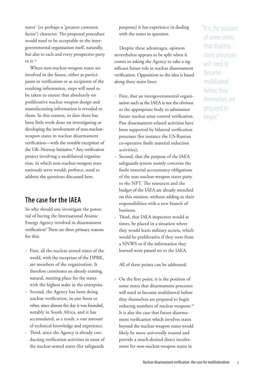nator' (or perhaps a 'greatest common factor') character. The proposed procedure would need to be acceptable to the intergovernmental organisation itself, naturally, but also to each and every prospective party to it.<sup>14</sup>

Where non-nuclear-weapon states are involved in the future, either as participants in verification or as recipients of the resulting information, steps will need to be taken to ensure that absolutely no proliferative nuclear weapon design and manufacturing information is revealed to them. In this context, to date there has been little work done on investigating or developing the involvement of non-nuclearweapon states in nuclear disarmament verification—with the notable exception of the UK-Norway Initiative.<sup>15</sup> Any verification project involving a multilateral organisation, in which non-nuclear-weapon state nationals serve would, perforce, need to address the questions discussed here.

# **The case for the IAEA**

So why should one investigate the potential of having the International Atomic Energy Agency involved in disarmament verification? There are three primary reasons for this:

- First, all the nuclear-armed states of the world, with the exception of the DPRK, are members of the organisation. It therefore constitutes an already existing, natural, meeting place for the states with the highest stake in the enterprise.
- Second, the Agency has been doing nuclear verification, in one form or other, since almost the day it was founded, notably in South Africa, and it has accumulated, as a result, a vast amount of technical knowledge and experience.
- Third, since the Agency is already conducting verification activities in most of the nuclear-armed states (for safeguards

purposes) it has experience in dealing with the states in question.

Despite these advantages, opinion nevertheless appears to be split when it comes to asking the Agency to take a significant future role in nuclear disarmament verification. Opposition to the idea is based along three main lines:

- First, that an intergovernmental organisation such as the IAEA is not the obvious or the appropriate body to administer future nuclear arms control verification. Past disarmament-related activities have been supported by bilateral verification processes (for instance the US-Russian co-operative fissile material reduction activities);
- Second, that the purpose of the IAEA safeguards system mainly concerns the fissile material accountancy obligations of the non-nuclear-weapon states party to the NPT. The resources and the budget of the IAEA are already stretched on this mission, without adding to their responsibilities with a new branch of business;
- Third, that IAEA inspectors would at times, be placed in a situation where they would learn military secrets, which would be proliferative if they were from a NNWS or if the information they learned were passed on to the IAEA.

All of these points can be addressed.

• On the first point; it is the position of some states that disarmament processes will need to become multilateral before they themselves are prepared to begin reducing numbers of nuclear weapons.<sup>16</sup> It is also the case that future disarmament verification which involves states beyond the nuclear-weapon states would likely be more universally trusted and provide a much-desired direct involvement for non-nuclear-weapon states in

"It is the position of some states that disarmament processes will need to become multilateral before they themselves are prepared to begin."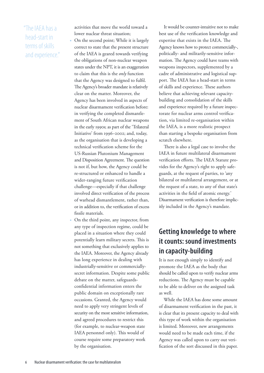# "The IAEA has a head-start in terms of skills and experience."

activities that move the world toward a lower nuclear threat situation;

- On the second point; While it is largely correct to state that the present structure of the IAEA is geared towards verifying the obligations of non-nuclear weapon states under the NPT, it is an exaggeration to claim that this is the *only* function that the Agency was designed to fulfil. The Agency's broader mandate is relatively clear on the matter. Moreover, the Agency has been involved in aspects of nuclear disarmament verification before: in verifying the completed dismantlement of South African nuclear weapons in the early 1990s; as part of the 'Trilateral Initiative' from 1996–2002; and, today, as the organisation that is developing a technical verification scheme for the US-Russian Plutonium Management and Disposition Agreement. The question is not if, but how, the Agency could be re-structured or enhanced to handle a wider-ranging future verification challenge—especially if that challenge involved direct verification of the process of warhead dismantlement, rather than, or in addition to, the verification of excess fissile materials.
- On the third point, any inspector, from any type of inspection regime, could be placed in a situation where they could potentially learn military secrets. This is not something that exclusively applies to the IAEA. Moreover, the Agency already has long experience in dealing with industrially-sensitive or commerciallysecret information. Despite some public debate on the matter, safeguardsconfidential information enters the public domain on exceptionally rare occasions. Granted, the Agency would need to apply very stringent levels of security on the most sensitive information, and agreed procedures to restrict this (for example, to nuclear-weapon state IAEA personnel only). This would of course require some preparatory work by the organisation.

It would be counter-intuitive not to make best use of the verification knowledge and expertise that exists in the IAEA. The Agency knows how to protect commercially-, politically- and militarily-sensitive information. The Agency could have teams with weapons inspectors, supplemented by a cadre of administrative and logistical support. The IAEA has a head-start in terms of skills and experience. These authors believe that achieving relevant capacitybuilding and consolidation of the skills and experience required by a future inspectorate for nuclear arms control verification, via limited re-organisation within the IAEA, is a more realistic prospect than starting a bespoke organisation from scratch elsewhere.

There is also a legal case to involve the IAEA in future multilateral disarmament verification efforts. The IAEA Statute provides for the Agency's right to apply safeguards, at the request of parties, to 'any bilateral or multilateral arrangement, or at the request of a state, to any of that state's activities in the field of atomic energy.' Disarmament verification is therefore implicitly included in the Agency's mandate.

# **Getting knowledge to where it counts: sound investments in capacity-building**

It is not enough simply to identify and promote the IAEA as the body that should be called upon to verify nuclear arms reductions. The Agency must be capable to be able to deliver on the assigned task as well.

While the IAEA has done some amount of disarmament verification in the past, it is clear that its present capacity to deal with this type of work within the organisation is limited. Moreover, new arrangements would need to be made each time, if the Agency was called upon to carry out verification of the sort discussed in this paper.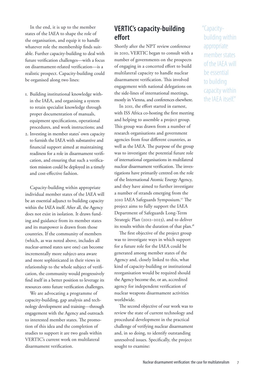In the end, it is up to the member states of the IAEA to shape the role of the organisation, and equip it to handle whatever role the membership finds suitable. Further capacity-building to deal with future verification challenges—with a focus on disarmament-related verification—is a realistic prospect. Capacity-building could be organised along two lines:

- 1. Building institutional knowledge within the IAEA, and organising a system to retain specialist knowledge through proper documentation of manuals, equipment specifications, operational procedures, and work instructions; and
- 2. Investing in member states' own capacity to furnish the IAEA with substantive and financial support aimed at maintaining readiness for a role in disarmament verification, and ensuring that such a verification mission could be deployed in a timely and cost-effective fashion.

Capacity-building within appropriate individual member states of the IAEA will be an essential adjunct to building capacity within the IAEA itself. After all, the Agency does not exist in isolation. It draws funding and guidance from its member states and its manpower is drawn from those countries. If the community of members (which, as was noted above, includes all nuclear-armed states save one) can become incrementally more subject-area aware and more sophisticated in their views in relationship to the whole subject of verification, the community would progressively find itself in a better position to leverage its resources onto future verification challenges.

We are advocating a programme of capacity-building, gap analysis and technology development and training—through engagement with the Agency and outreach to interested member states. The promotion of this idea and the completion of studies to support it are two goals within VERTIC's current work on multilateral disarmament verification.

# **VERTIC's capacity-building effort**

Shortly after the NPT review conference in 2010, VERTIC began to consult with a number of governments on the prospects of engaging in a concerted effort to build multilateral capacity to handle nuclear disarmament verification. This involved engagement with national delegations on the side-lines of international meetings, mostly in Vienna, and conferences elsewhere.

In 2011, the effort started in earnest, with ISS Africa co-hosting the first meeting and helping to assemble a project group. This group was drawn from a number of research organisations and government agencies from four different countries, as well as the IAEA. The purpose of the group was to investigate the potential future role of international organisations in multilateral nuclear disarmament verification. The investigations have primarily centred on the role of the International Atomic Energy Agency, and they have aimed to further investigate a number of strands emerging from the 2010 IAEA Safeguards Symposium.17 The project aims to fully support the IAEA Department of Safeguards Long-Term Strategic Plan (2012–2023), and to deliver its results within the duration of that plan.<sup>18</sup>

The first objective of the project group was to investigate ways in which support for a future role for the IAEA could be generated among member states of the Agency and, closely linked to this, what kind of capacity-building or institutional reorganisation would be required should the Agency become the, or an, accredited agency for independent verification of nuclear weapons disarmament activities worldwide.

The second objective of our work was to review the state of current technology and procedural development in the practical challenge of verifying nuclear disarmament and, in so doing, to identify outstanding unresolved issues. Specifically, the project sought to examine:

"Capacitybuilding within appropriate member states of the IAEA will be essential to building capacity within the IAEA itself."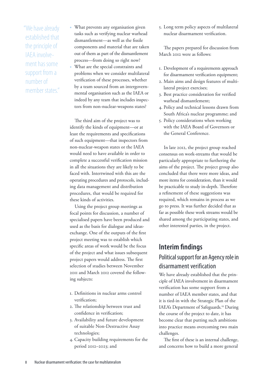"We have already established that the principle of IAEA involvement has some support from a number of member states"

- What prevents any organisation given tasks such as verifying nuclear warhead dismantlement—as well as the fissile components and material that are taken out of them as part of the dismantlement process—from doing so right now?
- What are the special constraints and problems when we consider multilateral verification of these processes, whether by a team sourced from an intergovernmental organisation such as the IAEA or indeed by any team that includes inspectors from non-nuclear-weapons states?

The third aim of the project was to identify the kinds of equipment—or at least the requirements and specifications of such equipment—that inspectors from non-nuclear-weapon states or the IAEA would need to have available in order to complete a successful verification mission in all the situations they are likely to be faced with. Intertwined with this are the operating procedures and protocols, including data management and distribution procedures, that would be required for these kinds of activities.

Using the project group meetings as focal points for discussion, a number of specialised papers have been produced and used as the basis for dialogue and ideasexchange. One of the outputs of the first project meeting was to establish which specific areas of work would be the focus of the project and what issues subsequent project papers would address. The first selection of studies between November 2011 and March 2012 covered the following subjects:

- 1. Definitions in nuclear arms control verification;
- 2. The relationship between trust and confidence in verification;
- 3. Availability and future development of suitable Non-Destructive Assay technologies;
- 4. Capacity building requirements for the period 2012–2023; and

5. Long term policy aspects of multilateral nuclear disarmament verification.

The papers prepared for discussion from March 2012 were as follows:

- 1. Development of a requirements approach for disarmament verification equipment;
- 2. Main aims and design features of multilateral project exercises;
- 3. Best practice consideration for verified warhead dismantlement;
- 4. Policy and technical lessons drawn from South Africa's nuclear programme; and
- 5. Policy considerations when working with the IAEA Board of Governors or the General Conference.

In late 2012, the project group reached consensus on work-streams that would be particularly appropriate to furthering the aims of the project. The project group also concluded that there were more ideas, and more items for consideration, than it would be practicable to study in-depth. Therefore a refinement of these suggestions was required, which remains in process as we go to press. It was further decided that as far as possible these work streams would be shared among the participating states, and other interested parties, in the project.

# **Interim findings** Political support for an Agency role in disarmament verification

We have already established that the principle of IAEA involvement in disarmament verification has some support from a number of IAEA member states, and that it is tied-in with the Strategic Plan of the IAEA's Department of Safeguards.<sup>19</sup> During the course of the project to date, it has become clear that putting such ambitions into practice means overcoming two main challenges.

The first of these is an internal challenge, and concerns how to build a more general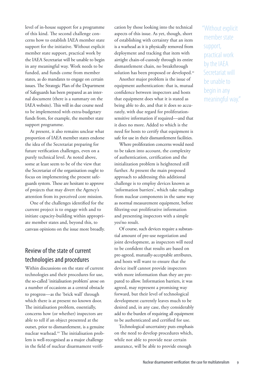level of in-house support for a programme of this kind. The second challenge concerns how to establish IAEA member state support for the initiative. Without explicit member state support, practical work by the IAEA Secretariat will be unable to begin in any meaningful way. Work needs to be funded, and funds come from member states, as do mandates to engage on certain issues. The Strategic Plan of the Department of Safeguards has been prepared as an internal document (there is a summary on the IAEA website). This will in due course need to be implemented with extra-budgetary funds from, for example, the member state support programme.

At present, it also remains unclear what proportion of IAEA member states endorse the idea of the Secretariat preparing for future verification challenges, even on a purely technical level. As noted above, some at least seem to be of the view that the Secretariat of the organisation ought to focus on implementing the present safeguards system. These are hesitant to approve of projects that may divert the Agency's attention from its perceived core mission.

One of the challenges identified for the current project is to engage with and to initiate capacity-building within appropriate member states and, beyond this, to canvass opinions on the issue more broadly.

#### Review of the state of current technologies and procedures

Within discussions on the state of current technologies and their procedures for use, the so-called 'initialisation problem' arose on a number of occasions as a central obstacle to progress—as the 'brick wall' through which there is at present no known door. The initialisation problem, essentially, concerns how (or whether) inspectors are able to tell if an object presented at the outset, prior to dismantlement, is a genuine nuclear warhead.<sup>20</sup> The initialisation problem is well-recognised as a major challenge in the field of nuclear disarmament verification by those looking into the technical aspects of this issue. As yet, though, short of establishing with certainty that an item is a warhead as it is physically removed from deployment and tracking that item with airtight chain-of-custody through its entire dismantlement chain, no breakthrough solution has been proposed or developed.<sup>21</sup>

Another major problem is the issue of equipment authentication: that is, mutual confidence between inspectors and hosts that equipment does what it is stated as being able to do, and that it does so accurately, with due regard for proliferationsensitive information if required—and that it does no more. Added to which is the need for hosts to certify that equipment is safe for use in their dismantlement facilities.

Where proliferation concerns would need to be taken into account, the complexity of authentication, certification and the initialization problem is heightened still further. At present the main proposed approach to addressing this additional challenge is to employ devices known as 'information barriers', which take readings from nuclear components in the same way as normal measurement equipment, before filtering-out proliferative information and presenting inspectors with a simple yes/no result.

Of course, such devices require a substantial amount of pre-use negotiation and joint development, as inspectors will need to be confident that results are based on pre-agreed, mutually-acceptable attributes, and hosts will want to ensure that the device itself cannot provide inspectors with more information than they are prepared to allow. Information barriers, it was agreed, may represent a promising way forward, but their level of technological development currently leaves much to be desired and, in any case, they considerably add to the burden of requiring all equipment to be authenticated and certified for use.

Technological uncertainty puts emphasis on the need to develop procedures which, while not able to provide near certain assurance, will be able to provide enough

"Without explicit member state support, practical work by the IAEA Secretariat will be unable to begin in any meaningful way."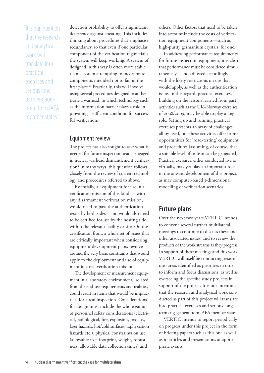"It is our intention that the research and analytical work will translate into practical exercises and serious longterm engagement from IAEA member states."

detection probability to offer a significant deterrence against cheating. This includes thinking about procedures that emphasise redundancy, so that even if one particular component of the verification regime fails the system will keep working. A system of designed in this way is often more stable than a system attempting to incorporate components intended not to fail in the first place.<sup>22</sup> Practically, this will involve using several procedures designed to authenticate a warhead, in which technology such as the information barrier plays a role in providing a sufficient condition for successful verification.

#### Equipment review

The project has also sought to ask: what is needed for future inspection teams engaged in nuclear warhead dismantlement verification? In many ways, this question follows closely from the review of current technology and procedures referred to above.

Essentially, all equipment for use in a verification mission of this kind, as with any disarmament verification mission, would need to pass the authentication test—by both sides—and would also need to be certified for use by the hosting side within the relevant facility or site. On the certification front, a whole set of issues that are critically important when considering equipment development plans revolve around the very basic constraints that would apply to the deployment and use of equipment in a real verification mission.

The development of measurement equipment in a laboratory environment, isolated from the end-use requirements and realities, could result in items that would be impractical for a real inspection. Considerations for design must include the whole gamut of personnel safety considerations (electrical, radiological, fire, explosion, toxicity, laser hazards, hot/cold surfaces, asphyxiation hazards etc.), physical constraints on use (allowable size, footprint, weight, robustness; allowable data collection times) and

others. Other factors that need to be taken into account include the costs of verification equipment components—such as high-purity germanium crystals, for one.

In addressing performance requirements for future inspection equipment, it is clear that performance must be considered simultaneously—and adjusted accordingly with the likely restrictions on use that would apply, as well as the authentication issue. In this regard, practical exercises, building on the lessons learned from past activities such as the UK–Norway exercises of 2008/2009, may be able to play a key role. Setting up and running practical exercises presents an array of challenges all by itself, but these activities offer prime opportunities for 'road-testing' equipment and procedures (assuming, of course, that a suitable level of realism can be generated). Practical exercises, either conducted live or virtually, may yet play an important role in the onward development of this project, as may computer-based 3-dimensional modelling of verification scenarios.

#### **Future plans**

Over the next two years VERTIC intends to convene several further multilateral meetings to continue to discuss these and other associated issues, and to review the products of the work streams as they progress. In support of these meetings and this work, VERTIC will itself be conducting research into areas identified as priorities in order to inform and focus discussions, as well as overseeing the specific study projects in support of the project. It is our intention that the research and analytical work conducted as part of this project will translate into practical exercises and serious longterm engagement from IAEA member states.

VERTIC intends to report periodically on progress under this project in the form of briefing papers such as this one as well as in articles and presentations at appropriate events.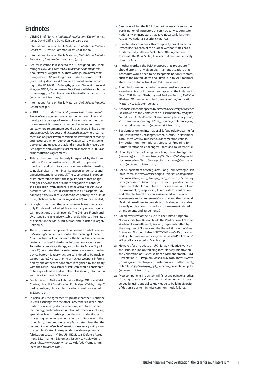## **Endnotes**

- 1 VERTIC Brief No. 17, *Multilateral verification: Exploring new ideas,* David Cliff and David Keir, January 2012.
- 2 International Panel on Fissile Materials, *Global Fissile Material Report 2011,* Creative Commons(2011), p. 8 and 16.
- 3 International Panel on Fissile Materials, *Global Fissile Material Report 2011,* Creative Commons(2011), p. 4
- 4 See, for instance, in respect to the US designed B83, Frank Munger, *How long does it take to dismantle bomb parts?,*  Knox News, 31 August 2012, <http://blogs.knoxnews.com/ munger/2012/08/how-long-does-it-take-to-disma-1.html> (accessed 14 March 2013). Complete dismantlement, according to the US NNSA, is"a lengthy process"involving several sites, see NNSA, Dismantlement Fact Sheet, available at <http:// nnsa.energy.gov/mediaroom/factsheets/dismantlement-0> (accessed 14 March 2013).
- 5 International Panel on Fissile Materials, *Global Fissile Material Report 2011*, p. 5.
- 6 VERTIC's 2011 study *Irreversibility in Nuclear Disarmament: Practical steps against nuclear rearmament* examines and develops the concept of irreversibility as it relates to nuclear disarmament. It makes a distinction between *unarmed states*, where re-armament could be achieved in little time and at relatively low cost, and *disarmed states*, where rearmament can only occur with considerable investment of money and resources. A non-deployed weapon can always be redeployed, and treaties of that kind is hence highly reversible. See pages 51 and 61 in particular for an analysis of US-Russian arms reductions agreements.
- This text has been unanimously interpreted, by the International Court of Justice, as'an obligation to pursue in good faith and bring to a conclusion negotiations leading to nuclear disarmament in all its aspects under strict and effective international control.'The court argues in support of its interpretation that, 'the legal import of that obligation goes beyond that of a mere obligation of conduct; the obligation involved here is *an obligation to achieve a precise result*—nuclear disarmament in all its aspects—*by adopting a particular course of conduct*, namely, the pursuit of negotiations on the matterin good faith.'(Emphasis added.)
- 8 It ought to be noted that of all nine nuclear-armed states, only Russia and the United States are carrying out significant reductions of their arsenals. The Chinese, French and UK arsenals are at relatively stable levels, whereas the status of arsenals in the DPRK, India, Israel and Pakistan is largely unknown.
- 9 There is, however, no apparent consensus on what is meant by "assisting" another state or what the meaning of the term "manufacture"is. In other words, the boundaries between lawful and unlawful sharing of information are not clear. To further complicate things, according to Article IX.3. of the NPT, only states that have detonated a nuclear explosive device before 1 January 1967 are considered to be 'nuclear weapon states'. Hence, sharing of nuclear weapons information by one of the weapons-state recognized by the treaty with the DPRK, India, Israel or Pakistan, would considered to be as proliferative and as unlawful as sharing information with, say, Germany or Norway.
- 10 See Los Alamos National Laboratory, Badge Office and Visit Control, UK - USA Classification Equivalency Table, <http:// badge.lanl.gov/uk-usa\_classification.shtml> (accessed 14 March 2013).
- 11 In particular, the agreement stipulates that the UK and the US,"will exchange with the other Party other classified information concerning atomic weapons, sensitive nuclear technology, and controlled nuclear information, including special nuclear materials properties and production or processing technology, when, after consultation with the other Party, the communicating Party determines that the communication of such information is necessary to improve the recipient's atomic weapon design, development and fabrication capability." See US–UK Mutual Defence Agreement, Disarmament Diplomacy, Issue No. 77, May/June 2004, <http://www.acronym.org.uk/dd/dd77/77mda.htm> (accessed 18 March 2013).
- 12 Simply involving the IAEA does not necessarily imply the participation of inspectors of non-nuclear weapon state nationality, or inspectors that have necessarily lost their respective national security clearances.
- 13 In material accountancy, this complexity has already manifested itself as each of the nuclear-weapon states has a fundamentally different'Voluntary Offer Agreement' in force with the IAEA. So far, it is clear that one size definitely does not fit all.
- 14 In other words, if the IAEA proposes that'procedure A' should apply in any given disarmament situation, that procedure would need to be acceptable not only to states such as the United States and Russia, but to IAEA member states such as India, Israel and Pakistan as well.
- 15 The UK-Norway Initiative has been extensively covered elsewhere. See for instance the chapter on the initiative in David Cliff, Hassan Elbahtimy and Andreas Persbo, *'Verifying Warhead Dismantlement: Past, present, future'*, Verification Matters No. 9, September 2010
- 16 See, for instance, the speech by former UK Secretary of Defence Des Browne to the Conference on Disarmament, *Laying the Foundations for Multilateral Disarmament*, 5 February 2008, <http://www.labour.org.uk/des\_browne\_conference\_on\_ nuclear\_disarmament> (accessed 18 March 2013).
- 17 See Symposium on International Safeguards: Preparing for Future Verification Challenges, Vienna, Austria, 1-5 November 2010, <http://www-pub.iaea.org/iaeameetings/38095/ Symposium-on-International-Safeguards-Preparing-for-Future-Verification-Challenges> (accessed 20 March 2013)
- 18 IAEA Department of Safeguards, Long-Term Strategic Plan (2012–2023), <http://www.iaea.org/OurWork/SV/Safeguards/ documents/LongTerm\_Strategic\_Plan\_(20122023)-Summary. pdf> (accessed 21 March 2013)
- 19 IAEA Department of Safeguards, Long-Term Strategic Plan (2012–2023), <http://www.iaea.org/OurWork/SV/Safeguards/ documents/LongTerm\_Strategic\_Plan\_(2012–2023)-Summary. pdf> (accessed 21 March 2013). The plan stipulates that the department should "contribute to nuclear arms control and disarmament, by responding to requests for verification and other technical assistance associated with related agreements and arrangements" and that and that it should "Maintain readiness to provide technical expertise and/or to verify nuclear arms control and disarmament related arrangements and agreements".
- 20 For an overview of the issue, see The United Kingdom– Norway Initiative: Research into the Verification of Nuclear Warhead Dismantlement, Working Paper submitted by the Kingdom of Norway and the United Kingdom of Great Britain and Northern Ireland. NPT/CONF.2010/WP.41, para. 72 and 73. <http://www.vertic.org/media/assets/Publications/ WP41.pdf> (accessed 21 March 2013)
- 21 However, for an update on UK-Norway Initiative work on the issue, see The United Kingdom–Norway Initiative on the Verification of Nuclear Warhead Dismantlement, UKNI Presentation, NPT PrepCom, Vienna, May 2012, <https://www. gov.uk/government/uploads/system/uploads/attachment\_ data/file/28425/20120503\_npt\_prepcom\_presentation.pdf> (accessed 21 March 2013)
- 22 Most components in a system will fail at one point or another. Creating truly fail-safe systems is challenging and is best served by using specialist knowledge to build in diversity of design, so as to minimise common-mode failures.